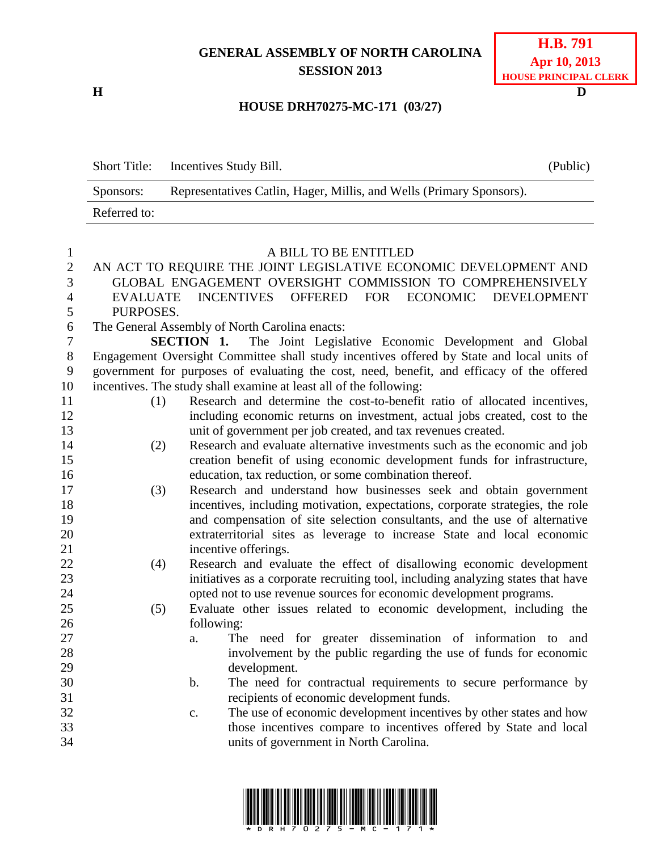## **GENERAL ASSEMBLY OF NORTH CAROLINA SESSION 2013**

**H D**

## **HOUSE DRH70275-MC-171 (03/27)**

|              | Short Title: Incentives Study Bill.                                  | (Public) |
|--------------|----------------------------------------------------------------------|----------|
| Sponsors:    | Representatives Catlin, Hager, Millis, and Wells (Primary Sponsors). |          |
| Referred to: |                                                                      |          |

## A BILL TO BE ENTITLED

## AN ACT TO REQUIRE THE JOINT LEGISLATIVE ECONOMIC DEVELOPMENT AND GLOBAL ENGAGEMENT OVERSIGHT COMMISSION TO COMPREHENSIVELY EVALUATE INCENTIVES OFFERED FOR ECONOMIC DEVELOPMENT

PURPOSES.

The General Assembly of North Carolina enacts:

 **SECTION 1.** The Joint Legislative Economic Development and Global Engagement Oversight Committee shall study incentives offered by State and local units of government for purposes of evaluating the cost, need, benefit, and efficacy of the offered incentives. The study shall examine at least all of the following:

- (1) Research and determine the cost-to-benefit ratio of allocated incentives, including economic returns on investment, actual jobs created, cost to the unit of government per job created, and tax revenues created.
- (2) Research and evaluate alternative investments such as the economic and job creation benefit of using economic development funds for infrastructure, education, tax reduction, or some combination thereof.
- (3) Research and understand how businesses seek and obtain government incentives, including motivation, expectations, corporate strategies, the role and compensation of site selection consultants, and the use of alternative extraterritorial sites as leverage to increase State and local economic 21 incentive offerings.
- (4) Research and evaluate the effect of disallowing economic development initiatives as a corporate recruiting tool, including analyzing states that have opted not to use revenue sources for economic development programs.
- (5) Evaluate other issues related to economic development, including the following:
- a. The need for greater dissemination of information to and involvement by the public regarding the use of funds for economic development.
- b. The need for contractual requirements to secure performance by recipients of economic development funds.
- c. The use of economic development incentives by other states and how those incentives compare to incentives offered by State and local units of government in North Carolina.